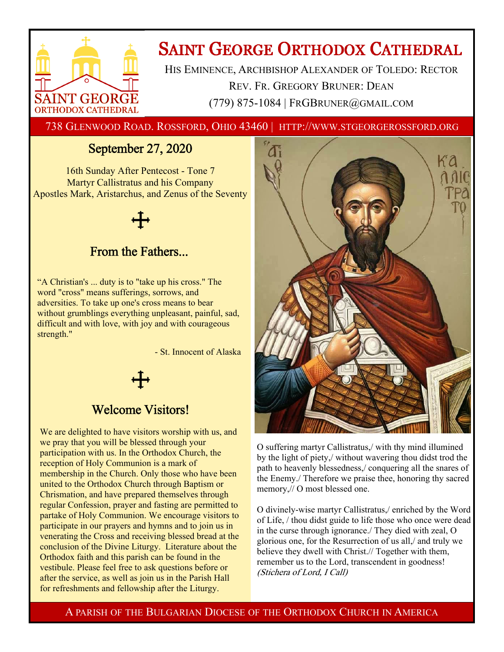

# **SAINT GEORGE ORTHODOX CATHEDRAL**

HIS EMINENCE, ARCHBISHOP ALEXANDER OF TOLEDO: RECTOR REV. FR. GREGORY BRUNER: DEAN (779) 875-1084 | FRGBRUNER@GMAIL.COM

738 GLENWOOD ROAD. ROSSFORD, OHIO 43460 | HTTP://WWW.STGEORGEROSSFORD.ORG

## September 27, 2020

16th Sunday After Pentecost - Tone 7 Martyr Callistratus and his Company Apostles Mark, Aristarchus, and Zenus of the Seventy

## From the Fathers...

"A Christian's ... duty is to "take up his cross." The word "cross" means sufferings, sorrows, and adversities. To take up one's cross means to bear without grumblings everything unpleasant, painful, sad, difficult and with love, with joy and with courageous strength."

- St. Innocent of Alaska



### Welcome Visitors!

We are delighted to have visitors worship with us, and we pray that you will be blessed through your participation with us. In the Orthodox Church, the reception of Holy Communion is a mark of membership in the Church. Only those who have been united to the Orthodox Church through Baptism or Chrismation, and have prepared themselves through regular Confession, prayer and fasting are permitted to partake of Holy Communion. We encourage visitors to participate in our prayers and hymns and to join us in venerating the Cross and receiving blessed bread at the conclusion of the Divine Liturgy. Literature about the Orthodox faith and this parish can be found in the vestibule. Please feel free to ask questions before or after the service, as well as join us in the Parish Hall for refreshments and fellowship after the Liturgy.



O suffering martyr Callistratus,/ with thy mind illumined by the light of piety,/ without wavering thou didst trod the path to heavenly blessedness,/ conquering all the snares of the Enemy./ Therefore we praise thee, honoring thy sacred memory,// O most blessed one.

O divinely-wise martyr Callistratus,/ enriched by the Word of Life, / thou didst guide to life those who once were dead in the curse through ignorance./ They died with zeal, O glorious one, for the Resurrection of us all,/ and truly we believe they dwell with Christ.// Together with them, remember us to the Lord, transcendent in goodness! (Stichera of Lord, I Call)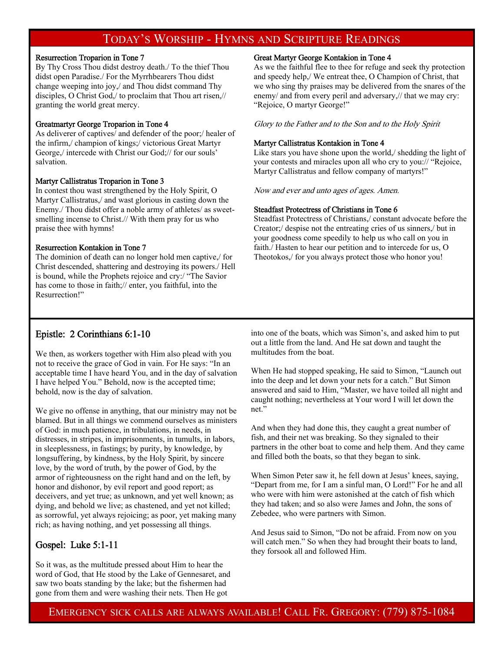### TODAY'S WORSHIP - HYMNS AND SCRIPTURE READINGS

#### Resurrection Troparion in Tone 7

By Thy Cross Thou didst destroy death./ To the thief Thou didst open Paradise./ For the Myrrhbearers Thou didst change weeping into joy,/ and Thou didst command Thy disciples, O Christ God,/ to proclaim that Thou art risen,// granting the world great mercy.

#### Greatmartyr George Troparion in Tone 4

As deliverer of captives/ and defender of the poor;/ healer of the infirm,/ champion of kings;/ victorious Great Martyr George,/ intercede with Christ our God;// for our souls' salvation.

#### Martyr Callistratus Troparion in Tone 3

In contest thou wast strengthened by the Holy Spirit, O Martyr Callistratus,/ and wast glorious in casting down the Enemy./ Thou didst offer a noble army of athletes/ as sweetsmelling incense to Christ.// With them pray for us who praise thee with hymns!

#### Resurrection Kontakion in Tone 7

The dominion of death can no longer hold men captive,/ for Christ descended, shattering and destroying its powers./ Hell is bound, while the Prophets rejoice and cry:/ "The Savior has come to those in faith;// enter, you faithful, into the Resurrection!"

#### Great Martyr George Kontakion in Tone 4

As we the faithful flee to thee for refuge and seek thy protection and speedy help,/ We entreat thee, O Champion of Christ, that we who sing thy praises may be delivered from the snares of the enemy/ and from every peril and adversary,// that we may cry: "Rejoice, O martyr George!"

Glory to the Father and to the Son and to the Holy Spirit

#### Martyr Callistratus Kontakion in Tone 4

Like stars you have shone upon the world, shedding the light of your contests and miracles upon all who cry to you:// "Rejoice, Martyr Callistratus and fellow company of martyrs!"

Now and ever and unto ages of ages. Amen.

#### Steadfast Protectress of Christians in Tone 6

Steadfast Protectress of Christians,/ constant advocate before the Creator;/ despise not the entreating cries of us sinners,/ but in your goodness come speedily to help us who call on you in faith./ Hasten to hear our petition and to intercede for us, O Theotokos,/ for you always protect those who honor you!

#### Epistle: 2 Corinthians 6:1-10

We then, as workers together with Him also plead with you not to receive the grace of God in vain. For He says: "In an acceptable time I have heard You, and in the day of salvation I have helped You." Behold, now is the accepted time; behold, now is the day of salvation.

We give no offense in anything, that our ministry may not be blamed. But in all things we commend ourselves as ministers of God: in much patience, in tribulations, in needs, in distresses, in stripes, in imprisonments, in tumults, in labors, in sleeplessness, in fastings; by purity, by knowledge, by longsuffering, by kindness, by the Holy Spirit, by sincere love, by the word of truth, by the power of God, by the armor of righteousness on the right hand and on the left, by honor and dishonor, by evil report and good report; as deceivers, and yet true; as unknown, and yet well known; as dying, and behold we live; as chastened, and yet not killed; as sorrowful, yet always rejoicing; as poor, yet making many rich; as having nothing, and yet possessing all things.

#### Gospel: Luke 5:1-11

So it was, as the multitude pressed about Him to hear the word of God, that He stood by the Lake of Gennesaret, and saw two boats standing by the lake; but the fishermen had gone from them and were washing their nets. Then He got

into one of the boats, which was Simon's, and asked him to put out a little from the land. And He sat down and taught the multitudes from the boat.

When He had stopped speaking, He said to Simon, "Launch out into the deep and let down your nets for a catch." But Simon answered and said to Him, "Master, we have toiled all night and caught nothing; nevertheless at Your word I will let down the net."

And when they had done this, they caught a great number of fish, and their net was breaking. So they signaled to their partners in the other boat to come and help them. And they came and filled both the boats, so that they began to sink.

When Simon Peter saw it, he fell down at Jesus' knees, saying, "Depart from me, for I am a sinful man, O Lord!" For he and all who were with him were astonished at the catch of fish which they had taken; and so also were James and John, the sons of Zebedee, who were partners with Simon.

And Jesus said to Simon, "Do not be afraid. From now on you will catch men." So when they had brought their boats to land, they forsook all and followed Him.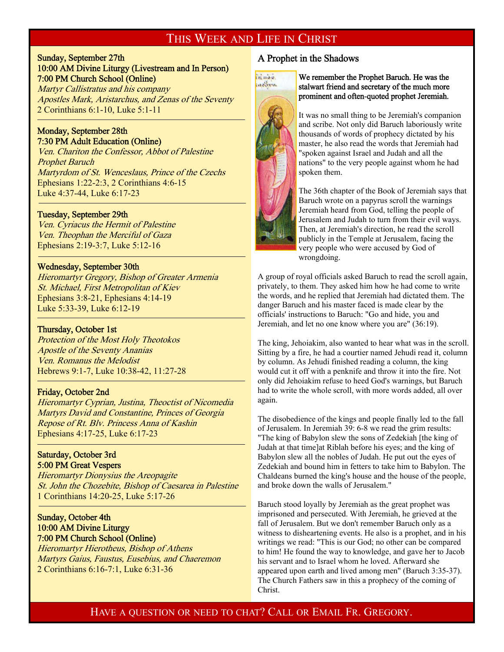### THIS WEEK AND LIFE IN CHRIST

#### Sunday, September 27th 10:00 AM Divine Liturgy (Livestream and In Person) 7:00 PM Church School (Online)

Martyr Callistratus and his company Apostles Mark, Aristarchus, and Zenas of the Seventy 2 Corinthians 6:1-10, Luke 5:1-11

#### Monday, September 28th 7:30 PM Adult Education (Online)

<sup>-</sup>

f

-

Ven. Chariton the Confessor, Abbot of Palestine Prophet Baruch Martyrdom of St. Wenceslaus, Prince of the Czechs Ephesians 1:22-2:3, 2 Corinthians 4:6-15 Luke 4:37-44, Luke 6:17-23

#### Tuesday, September 29th

Ven. Cyriacus the Hermit of Palestine Ven. Theophan the Merciful of Gaza Ephesians 2:19-3:7, Luke 5:12-16

#### Wednesday, September 30th

Hieromartyr Gregory, Bishop of Greater Armenia St. Michael, First Metropolitan of Kiev Ephesians 3:8-21, Ephesians 4:14-19 Luke 5:33-39, Luke 6:12-19

#### Thursday, October 1st

Protection of the Most Holy Theotokos Apostle of the Seventy Ananias Ven. Romanus the Melodist Hebrews 9:1-7, Luke 10:38-42, 11:27-28

#### Friday, October 2nd

Hieromartyr Cyprian, Justina, Theoctist of Nicomedia Martyrs David and Constantine, Princes of Georgia Repose of Rt. Blv. Princess Anna of Kashin Ephesians 4:17-25, Luke 6:17-23

#### Saturday, October 3rd 5:00 PM Great Vespers

Hieromartyr Dionysius the Areopagite St. John the Chozebite, Bishop of Caesarea in Palestine 1 Corinthians 14:20-25, Luke 5:17-26

#### Sunday, October 4th 10:00 AM Divine Liturgy 7:00 PM Church School (Online)

Hieromartyr Hierotheus, Bishop of Athens Martyrs Gaius, Faustus, Eusebius, and Chaeremon 2 Corinthians 6:16-7:1, Luke 6:31-36

#### A Prophet in the Shadows



We remember the Prophet Baruch. He was the stalwart friend and secretary of the much more prominent and often-quoted prophet Jeremiah.

It was no small thing to be Jeremiah's companion and scribe. Not only did Baruch laboriously write thousands of words of prophecy dictated by his master, he also read the words that Jeremiah had "spoken against Israel and Judah and all the nations" to the very people against whom he had spoken them.

The 36th chapter of the Book of Jeremiah says that Baruch wrote on a papyrus scroll the warnings Jeremiah heard from God, telling the people of Jerusalem and Judah to turn from their evil ways. Then, at Jeremiah's direction, he read the scroll publicly in the Temple at Jerusalem, facing the very people who were accused by God of wrongdoing.

A group of royal officials asked Baruch to read the scroll again, privately, to them. They asked him how he had come to write the words, and he replied that Jeremiah had dictated them. The danger Baruch and his master faced is made clear by the officials' instructions to Baruch: "Go and hide, you and Jeremiah, and let no one know where you are" (36:19).

The king, Jehoiakim, also wanted to hear what was in the scroll. Sitting by a fire, he had a courtier named Jehudi read it, column by column. As Jehudi finished reading a column, the king would cut it off with a penknife and throw it into the fire. Not only did Jehoiakim refuse to heed God's warnings, but Baruch had to write the whole scroll, with more words added, all over again.

The disobedience of the kings and people finally led to the fall of Jerusalem. In Jeremiah 39: 6-8 we read the grim results: "The king of Babylon slew the sons of Zedekiah [the king of Judah at that time]at Riblah before his eyes; and the king of Babylon slew all the nobles of Judah. He put out the eyes of Zedekiah and bound him in fetters to take him to Babylon. The Chaldeans burned the king's house and the house of the people, and broke down the walls of Jerusalem."

Baruch stood loyally by Jeremiah as the great prophet was imprisoned and persecuted. With Jeremiah, he grieved at the fall of Jerusalem. But we don't remember Baruch only as a witness to disheartening events. He also is a prophet, and in his writings we read: "This is our God; no other can be compared to him! He found the way to knowledge, and gave her to Jacob his servant and to Israel whom he loved. Afterward she appeared upon earth and lived among men" (Baruch 3:35-37). The Church Fathers saw in this a prophecy of the coming of Christ.

### HAVE A QUESTION OR NEED TO CHAT? CALL OR EMAIL FR. GREGORY.